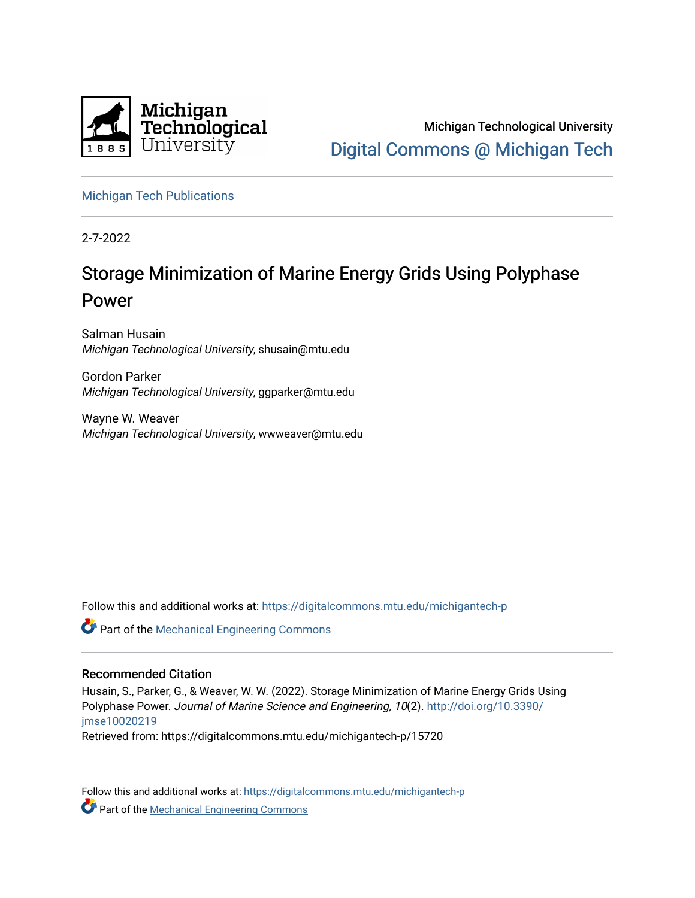

Michigan Technological University [Digital Commons @ Michigan Tech](https://digitalcommons.mtu.edu/) 

[Michigan Tech Publications](https://digitalcommons.mtu.edu/michigantech-p) 

2-7-2022

# Storage Minimization of Marine Energy Grids Using Polyphase Power

Salman Husain Michigan Technological University, shusain@mtu.edu

Gordon Parker Michigan Technological University, ggparker@mtu.edu

Wayne W. Weaver Michigan Technological University, wwweaver@mtu.edu

Follow this and additional works at: [https://digitalcommons.mtu.edu/michigantech-p](https://digitalcommons.mtu.edu/michigantech-p?utm_source=digitalcommons.mtu.edu%2Fmichigantech-p%2F15720&utm_medium=PDF&utm_campaign=PDFCoverPages)

Part of the [Mechanical Engineering Commons](http://network.bepress.com/hgg/discipline/293?utm_source=digitalcommons.mtu.edu%2Fmichigantech-p%2F15720&utm_medium=PDF&utm_campaign=PDFCoverPages) 

## Recommended Citation

Husain, S., Parker, G., & Weaver, W. W. (2022). Storage Minimization of Marine Energy Grids Using Polyphase Power. Journal of Marine Science and Engineering, 10(2). [http://doi.org/10.3390/](http://doi.org/10.3390/jmse10020219) [jmse10020219](http://doi.org/10.3390/jmse10020219) 

Retrieved from: https://digitalcommons.mtu.edu/michigantech-p/15720

Follow this and additional works at: [https://digitalcommons.mtu.edu/michigantech-p](https://digitalcommons.mtu.edu/michigantech-p?utm_source=digitalcommons.mtu.edu%2Fmichigantech-p%2F15720&utm_medium=PDF&utm_campaign=PDFCoverPages)  **Part of the [Mechanical Engineering Commons](http://network.bepress.com/hgg/discipline/293?utm_source=digitalcommons.mtu.edu%2Fmichigantech-p%2F15720&utm_medium=PDF&utm_campaign=PDFCoverPages)**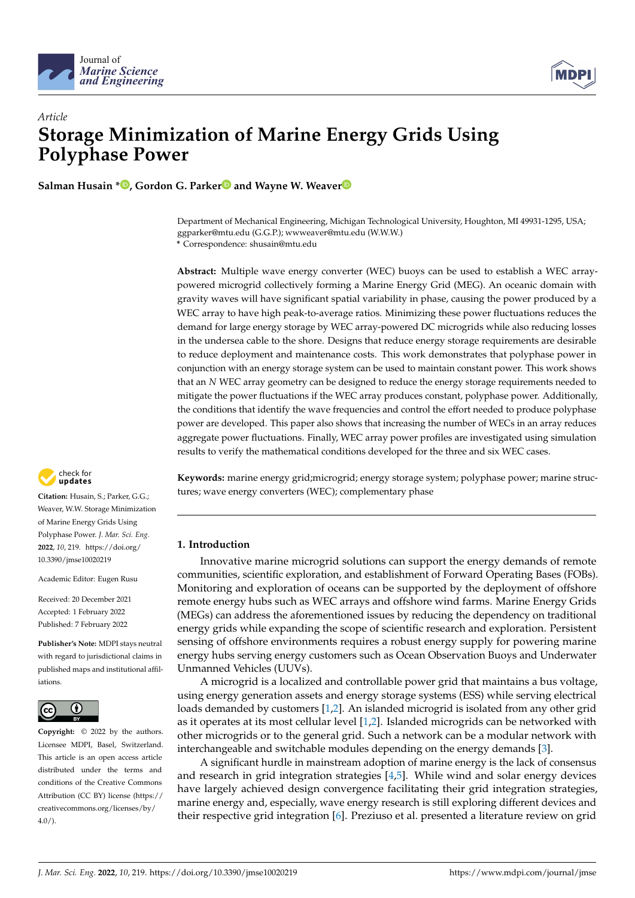



# *Article* **Storage Minimization of Marine Energy Grids Using Polyphase Power**

**Salman Husain \* [,](https://orcid.org/0000-0001-6044-2845) Gordon G. Parke[r](https://orcid.org/0000-0001-8503-6624) and Wayne W. Weave[r](https://orcid.org/0000-0002-3612-799X)**

Department of Mechanical Engineering, Michigan Technological University, Houghton, MI 49931-1295, USA; ggparker@mtu.edu (G.G.P.); wwweaver@mtu.edu (W.W.W.) **\*** Correspondence: shusain@mtu.edu

**Abstract:** Multiple wave energy converter (WEC) buoys can be used to establish a WEC arraypowered microgrid collectively forming a Marine Energy Grid (MEG). An oceanic domain with gravity waves will have significant spatial variability in phase, causing the power produced by a WEC array to have high peak-to-average ratios. Minimizing these power fluctuations reduces the demand for large energy storage by WEC array-powered DC microgrids while also reducing losses in the undersea cable to the shore. Designs that reduce energy storage requirements are desirable to reduce deployment and maintenance costs. This work demonstrates that polyphase power in conjunction with an energy storage system can be used to maintain constant power. This work shows that an *N* WEC array geometry can be designed to reduce the energy storage requirements needed to mitigate the power fluctuations if the WEC array produces constant, polyphase power. Additionally, the conditions that identify the wave frequencies and control the effort needed to produce polyphase power are developed. This paper also shows that increasing the number of WECs in an array reduces aggregate power fluctuations. Finally, WEC array power profiles are investigated using simulation results to verify the mathematical conditions developed for the three and six WEC cases.



**Citation:** Husain, S.; Parker, G.G.; Weaver, W.W. Storage Minimization of Marine Energy Grids Using Polyphase Power. *J. Mar. Sci. Eng.* **2022**, *10*, 219. [https://doi.org/](https://doi.org/10.3390/jmse10020219) [10.3390/jmse10020219](https://doi.org/10.3390/jmse10020219)

Academic Editor: Eugen Rusu

Received: 20 December 2021 Accepted: 1 February 2022 Published: 7 February 2022

**Publisher's Note:** MDPI stays neutral with regard to jurisdictional claims in published maps and institutional affiliations.



**Copyright:** © 2022 by the authors. Licensee MDPI, Basel, Switzerland. This article is an open access article distributed under the terms and conditions of the Creative Commons Attribution (CC BY) license [\(https://](https://creativecommons.org/licenses/by/4.0/) [creativecommons.org/licenses/by/](https://creativecommons.org/licenses/by/4.0/)  $4.0/$ ).

**Keywords:** marine energy grid;microgrid; energy storage system; polyphase power; marine structures; wave energy converters (WEC); complementary phase

### **1. Introduction**

Innovative marine microgrid solutions can support the energy demands of remote communities, scientific exploration, and establishment of Forward Operating Bases (FOBs). Monitoring and exploration of oceans can be supported by the deployment of offshore remote energy hubs such as WEC arrays and offshore wind farms. Marine Energy Grids (MEGs) can address the aforementioned issues by reducing the dependency on traditional energy grids while expanding the scope of scientific research and exploration. Persistent sensing of offshore environments requires a robust energy supply for powering marine energy hubs serving energy customers such as Ocean Observation Buoys and Underwater Unmanned Vehicles (UUVs).

A microgrid is a localized and controllable power grid that maintains a bus voltage, using energy generation assets and energy storage systems (ESS) while serving electrical loads demanded by customers [\[1](#page-11-0)[,2\]](#page-11-1). An islanded microgrid is isolated from any other grid as it operates at its most cellular level [\[1,](#page-11-0)[2\]](#page-11-1). Islanded microgrids can be networked with other microgrids or to the general grid. Such a network can be a modular network with interchangeable and switchable modules depending on the energy demands [\[3\]](#page-11-2).

A significant hurdle in mainstream adoption of marine energy is the lack of consensus and research in grid integration strategies [\[4](#page-11-3)[,5\]](#page-11-4). While wind and solar energy devices have largely achieved design convergence facilitating their grid integration strategies, marine energy and, especially, wave energy research is still exploring different devices and their respective grid integration [\[6\]](#page-11-5). Preziuso et al. presented a literature review on grid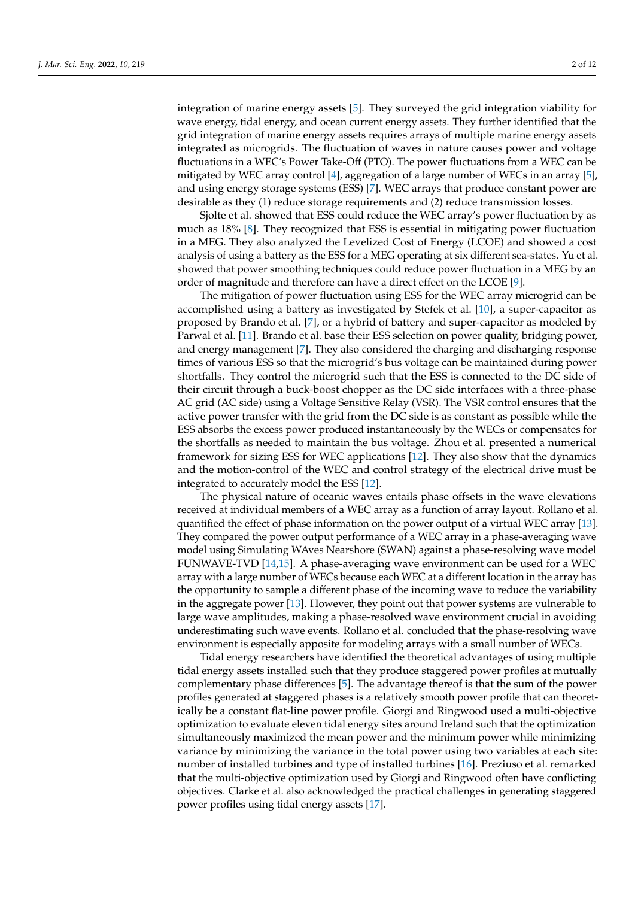integration of marine energy assets [\[5\]](#page-11-4). They surveyed the grid integration viability for wave energy, tidal energy, and ocean current energy assets. They further identified that the grid integration of marine energy assets requires arrays of multiple marine energy assets integrated as microgrids. The fluctuation of waves in nature causes power and voltage fluctuations in a WEC's Power Take-Off (PTO). The power fluctuations from a WEC can be mitigated by WEC array control [\[4\]](#page-11-3), aggregation of a large number of WECs in an array [\[5\]](#page-11-4), and using energy storage systems (ESS) [\[7\]](#page-11-6). WEC arrays that produce constant power are desirable as they (1) reduce storage requirements and (2) reduce transmission losses.

Sjolte et al. showed that ESS could reduce the WEC array's power fluctuation by as much as 18% [\[8\]](#page-11-7). They recognized that ESS is essential in mitigating power fluctuation in a MEG. They also analyzed the Levelized Cost of Energy (LCOE) and showed a cost analysis of using a battery as the ESS for a MEG operating at six different sea-states. Yu et al. showed that power smoothing techniques could reduce power fluctuation in a MEG by an order of magnitude and therefore can have a direct effect on the LCOE [\[9\]](#page-11-8).

The mitigation of power fluctuation using ESS for the WEC array microgrid can be accomplished using a battery as investigated by Stefek et al. [\[10\]](#page-11-9), a super-capacitor as proposed by Brando et al. [\[7\]](#page-11-6), or a hybrid of battery and super-capacitor as modeled by Parwal et al. [\[11\]](#page-11-10). Brando et al. base their ESS selection on power quality, bridging power, and energy management [\[7\]](#page-11-6). They also considered the charging and discharging response times of various ESS so that the microgrid's bus voltage can be maintained during power shortfalls. They control the microgrid such that the ESS is connected to the DC side of their circuit through a buck-boost chopper as the DC side interfaces with a three-phase AC grid (AC side) using a Voltage Sensitive Relay (VSR). The VSR control ensures that the active power transfer with the grid from the DC side is as constant as possible while the ESS absorbs the excess power produced instantaneously by the WECs or compensates for the shortfalls as needed to maintain the bus voltage. Zhou et al. presented a numerical framework for sizing ESS for WEC applications [\[12\]](#page-11-11). They also show that the dynamics and the motion-control of the WEC and control strategy of the electrical drive must be integrated to accurately model the ESS [\[12\]](#page-11-11).

The physical nature of oceanic waves entails phase offsets in the wave elevations received at individual members of a WEC array as a function of array layout. Rollano et al. quantified the effect of phase information on the power output of a virtual WEC array [\[13\]](#page-11-12). They compared the power output performance of a WEC array in a phase-averaging wave model using Simulating WAves Nearshore (SWAN) against a phase-resolving wave model FUNWAVE-TVD [\[14](#page-11-13)[,15\]](#page-11-14). A phase-averaging wave environment can be used for a WEC array with a large number of WECs because each WEC at a different location in the array has the opportunity to sample a different phase of the incoming wave to reduce the variability in the aggregate power [\[13\]](#page-11-12). However, they point out that power systems are vulnerable to large wave amplitudes, making a phase-resolved wave environment crucial in avoiding underestimating such wave events. Rollano et al. concluded that the phase-resolving wave environment is especially apposite for modeling arrays with a small number of WECs.

Tidal energy researchers have identified the theoretical advantages of using multiple tidal energy assets installed such that they produce staggered power profiles at mutually complementary phase differences [\[5\]](#page-11-4). The advantage thereof is that the sum of the power profiles generated at staggered phases is a relatively smooth power profile that can theoretically be a constant flat-line power profile. Giorgi and Ringwood used a multi-objective optimization to evaluate eleven tidal energy sites around Ireland such that the optimization simultaneously maximized the mean power and the minimum power while minimizing variance by minimizing the variance in the total power using two variables at each site: number of installed turbines and type of installed turbines [\[16\]](#page-11-15). Preziuso et al. remarked that the multi-objective optimization used by Giorgi and Ringwood often have conflicting objectives. Clarke et al. also acknowledged the practical challenges in generating staggered power profiles using tidal energy assets [\[17\]](#page-12-0).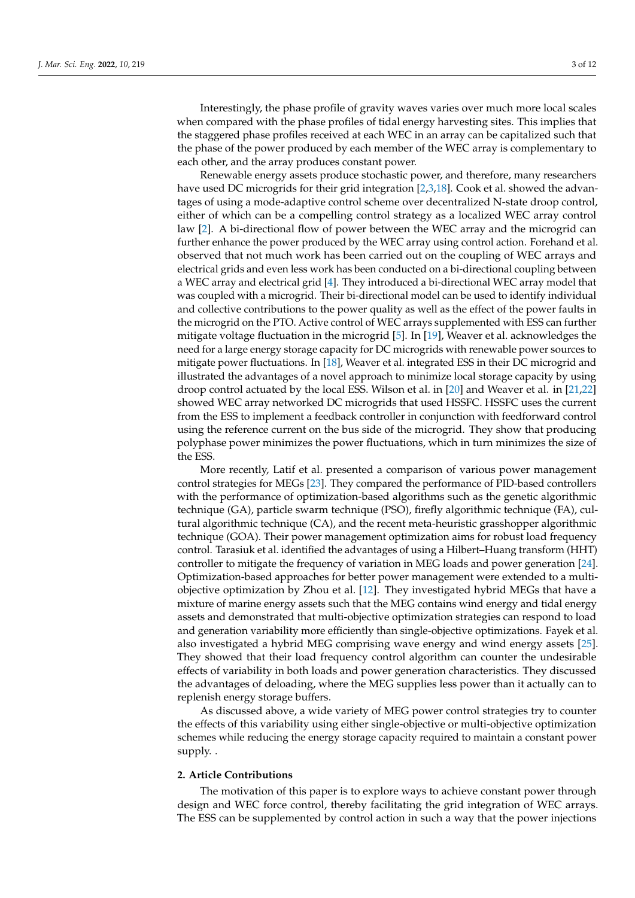Interestingly, the phase profile of gravity waves varies over much more local scales when compared with the phase profiles of tidal energy harvesting sites. This implies that the staggered phase profiles received at each WEC in an array can be capitalized such that the phase of the power produced by each member of the WEC array is complementary to each other, and the array produces constant power.

Renewable energy assets produce stochastic power, and therefore, many researchers have used DC microgrids for their grid integration [\[2,](#page-11-1)[3,](#page-11-2)[18\]](#page-12-1). Cook et al. showed the advantages of using a mode-adaptive control scheme over decentralized N-state droop control, either of which can be a compelling control strategy as a localized WEC array control law [\[2\]](#page-11-1). A bi-directional flow of power between the WEC array and the microgrid can further enhance the power produced by the WEC array using control action. Forehand et al. observed that not much work has been carried out on the coupling of WEC arrays and electrical grids and even less work has been conducted on a bi-directional coupling between a WEC array and electrical grid [\[4\]](#page-11-3). They introduced a bi-directional WEC array model that was coupled with a microgrid. Their bi-directional model can be used to identify individual and collective contributions to the power quality as well as the effect of the power faults in the microgrid on the PTO. Active control of WEC arrays supplemented with ESS can further mitigate voltage fluctuation in the microgrid [\[5\]](#page-11-4). In [\[19\]](#page-12-2), Weaver et al. acknowledges the need for a large energy storage capacity for DC microgrids with renewable power sources to mitigate power fluctuations. In [\[18\]](#page-12-1), Weaver et al. integrated ESS in their DC microgrid and illustrated the advantages of a novel approach to minimize local storage capacity by using droop control actuated by the local ESS. Wilson et al. in [\[20\]](#page-12-3) and Weaver et al. in [\[21](#page-12-4)[,22\]](#page-12-5) showed WEC array networked DC microgrids that used HSSFC. HSSFC uses the current from the ESS to implement a feedback controller in conjunction with feedforward control using the reference current on the bus side of the microgrid. They show that producing polyphase power minimizes the power fluctuations, which in turn minimizes the size of the ESS.

More recently, Latif et al. presented a comparison of various power management control strategies for MEGs [\[23\]](#page-12-6). They compared the performance of PID-based controllers with the performance of optimization-based algorithms such as the genetic algorithmic technique (GA), particle swarm technique (PSO), firefly algorithmic technique (FA), cultural algorithmic technique (CA), and the recent meta-heuristic grasshopper algorithmic technique (GOA). Their power management optimization aims for robust load frequency control. Tarasiuk et al. identified the advantages of using a Hilbert–Huang transform (HHT) controller to mitigate the frequency of variation in MEG loads and power generation [\[24\]](#page-12-7). Optimization-based approaches for better power management were extended to a multiobjective optimization by Zhou et al. [\[12\]](#page-11-11). They investigated hybrid MEGs that have a mixture of marine energy assets such that the MEG contains wind energy and tidal energy assets and demonstrated that multi-objective optimization strategies can respond to load and generation variability more efficiently than single-objective optimizations. Fayek et al. also investigated a hybrid MEG comprising wave energy and wind energy assets [\[25\]](#page-12-8). They showed that their load frequency control algorithm can counter the undesirable effects of variability in both loads and power generation characteristics. They discussed the advantages of deloading, where the MEG supplies less power than it actually can to replenish energy storage buffers.

As discussed above, a wide variety of MEG power control strategies try to counter the effects of this variability using either single-objective or multi-objective optimization schemes while reducing the energy storage capacity required to maintain a constant power supply. .

#### **2. Article Contributions**

The motivation of this paper is to explore ways to achieve constant power through design and WEC force control, thereby facilitating the grid integration of WEC arrays. The ESS can be supplemented by control action in such a way that the power injections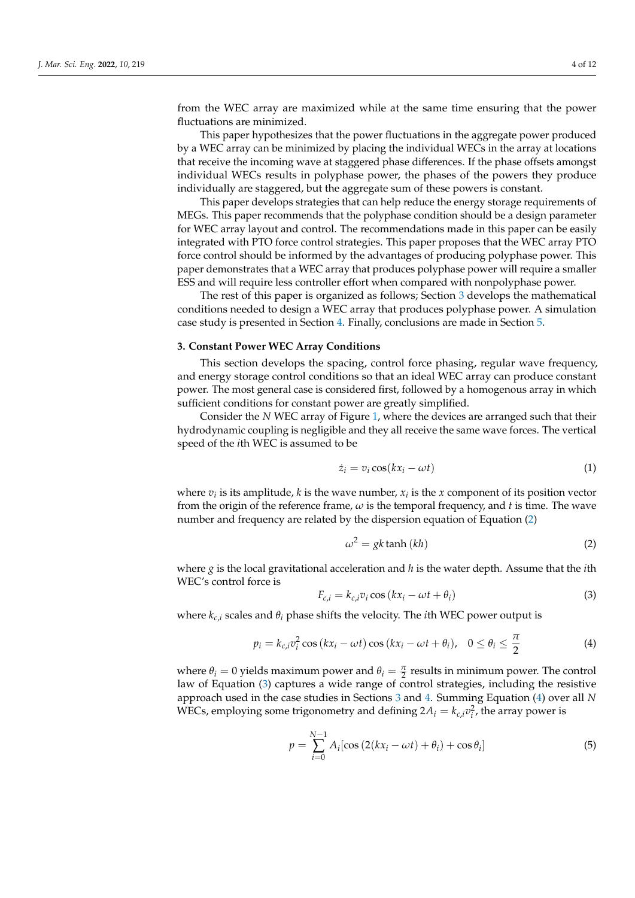from the WEC array are maximized while at the same time ensuring that the power fluctuations are minimized.

This paper hypothesizes that the power fluctuations in the aggregate power produced by a WEC array can be minimized by placing the individual WECs in the array at locations that receive the incoming wave at staggered phase differences. If the phase offsets amongst individual WECs results in polyphase power, the phases of the powers they produce individually are staggered, but the aggregate sum of these powers is constant.

This paper develops strategies that can help reduce the energy storage requirements of MEGs. This paper recommends that the polyphase condition should be a design parameter for WEC array layout and control. The recommendations made in this paper can be easily integrated with PTO force control strategies. This paper proposes that the WEC array PTO force control should be informed by the advantages of producing polyphase power. This paper demonstrates that a WEC array that produces polyphase power will require a smaller ESS and will require less controller effort when compared with nonpolyphase power.

The rest of this paper is organized as follows; Section [3](#page-4-0) develops the mathematical conditions needed to design a WEC array that produces polyphase power. A simulation case study is presented in Section [4.](#page-8-0) Finally, conclusions are made in Section [5.](#page-10-0)

#### <span id="page-4-0"></span>**3. Constant Power WEC Array Conditions**

This section develops the spacing, control force phasing, regular wave frequency, and energy storage control conditions so that an ideal WEC array can produce constant power. The most general case is considered first, followed by a homogenous array in which sufficient conditions for constant power are greatly simplified.

Consider the *N* WEC array of Figure [1,](#page-5-0) where the devices are arranged such that their hydrodynamic coupling is negligible and they all receive the same wave forces. The vertical speed of the *i*th WEC is assumed to be

$$
\dot{z}_i = v_i \cos(kx_i - \omega t) \tag{1}
$$

where  $v_i$  is its amplitude,  $k$  is the wave number,  $x_i$  is the  $x$  component of its position vector from the origin of the reference frame, *ω* is the temporal frequency, and *t* is time. The wave number and frequency are related by the dispersion equation of Equation [\(2\)](#page-4-1)

<span id="page-4-1"></span>
$$
\omega^2 = gk \tanh(kh) \tag{2}
$$

where  $g$  is the local gravitational acceleration and  $h$  is the water depth. Assume that the *i*th WEC's control force is

<span id="page-4-2"></span>
$$
F_{c,i} = k_{c,i} v_i \cos(kx_i - \omega t + \theta_i)
$$
\n(3)

where  $k_{c,i}$  scales and  $\theta_i$  phase shifts the velocity. The *i*th WEC power output is

<span id="page-4-3"></span>
$$
p_i = k_{c,i} v_i^2 \cos(kx_i - \omega t) \cos(kx_i - \omega t + \theta_i), \quad 0 \le \theta_i \le \frac{\pi}{2}
$$
 (4)

where  $\theta_i = 0$  yields maximum power and  $\theta_i = \frac{\pi}{2}$  results in minimum power. The control law of Equation [\(3\)](#page-4-2) captures a wide range of control strategies, including the resistive approach used in the case studies in Sections [3](#page-4-0) and [4.](#page-8-0) Summing Equation [\(4\)](#page-4-3) over all *N* WECs, employing some trigonometry and defining  $2A_i = k_{c,i}v_i^2$ , the array power is

<span id="page-4-4"></span>
$$
p = \sum_{i=0}^{N-1} A_i [\cos(2(kx_i - \omega t) + \theta_i) + \cos \theta_i]
$$
 (5)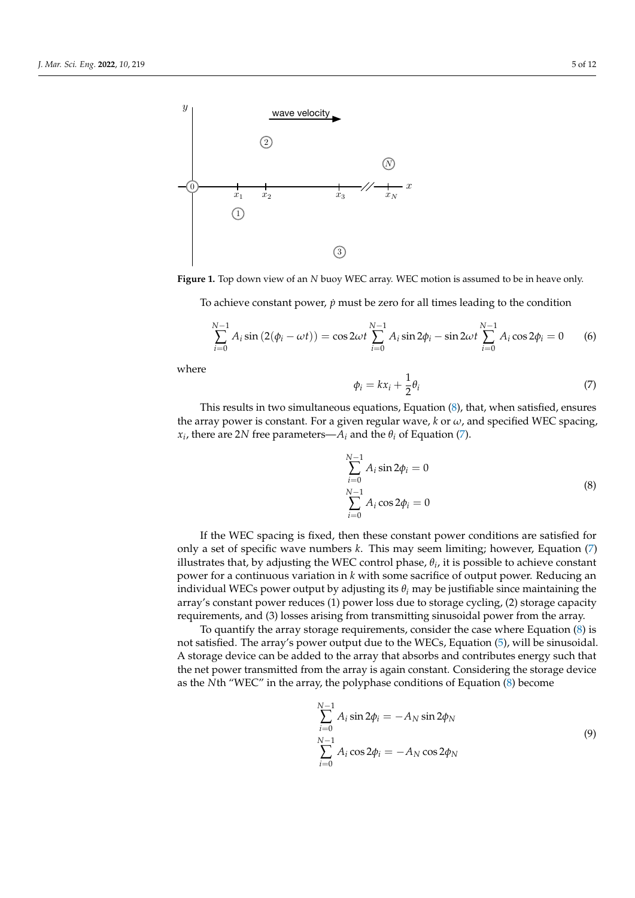<span id="page-5-0"></span>

**Figure 1.** Top down view of an *N* buoy WEC array. WEC motion is assumed to be in heave only.

To achieve constant power, *p*˙ must be zero for all times leading to the condition

$$
\sum_{i=0}^{N-1} A_i \sin(2(\phi_i - \omega t)) = \cos 2\omega t \sum_{i=0}^{N-1} A_i \sin 2\phi_i - \sin 2\omega t \sum_{i=0}^{N-1} A_i \cos 2\phi_i = 0
$$
 (6)

where

<span id="page-5-2"></span>
$$
\phi_i = kx_i + \frac{1}{2}\theta_i \tag{7}
$$

This results in two simultaneous equations, Equation [\(8\)](#page-5-1), that, when satisfied, ensures the array power is constant. For a given regular wave,  $k$  or  $\omega$ , and specified WEC spacing,  $x_i$ , there are 2*N* free parameters— $A_i$  and the  $\theta_i$  of Equation [\(7\)](#page-5-2).

$$
\sum_{i=0}^{N-1} A_i \sin 2\phi_i = 0
$$
  

$$
\sum_{i=0}^{N-1} A_i \cos 2\phi_i = 0
$$
 (8)

<span id="page-5-1"></span>If the WEC spacing is fixed, then these constant power conditions are satisfied for only a set of specific wave numbers *k*. This may seem limiting; however, Equation [\(7\)](#page-5-2) illustrates that, by adjusting the WEC control phase,  $\theta_i$ , it is possible to achieve constant power for a continuous variation in *k* with some sacrifice of output power. Reducing an individual WECs power output by adjusting its  $\theta_i$  may be justifiable since maintaining the array's constant power reduces (1) power loss due to storage cycling, (2) storage capacity requirements, and (3) losses arising from transmitting sinusoidal power from the array.

To quantify the array storage requirements, consider the case where Equation [\(8\)](#page-5-1) is not satisfied. The array's power output due to the WECs, Equation [\(5\)](#page-4-4), will be sinusoidal. A storage device can be added to the array that absorbs and contributes energy such that the net power transmitted from the array is again constant. Considering the storage device as the *N*th "WEC" in the array, the polyphase conditions of Equation [\(8\)](#page-5-1) become

$$
\sum_{i=0}^{N-1} A_i \sin 2\phi_i = -A_N \sin 2\phi_N
$$
  

$$
\sum_{i=0}^{N-1} A_i \cos 2\phi_i = -A_N \cos 2\phi_N
$$
 (9)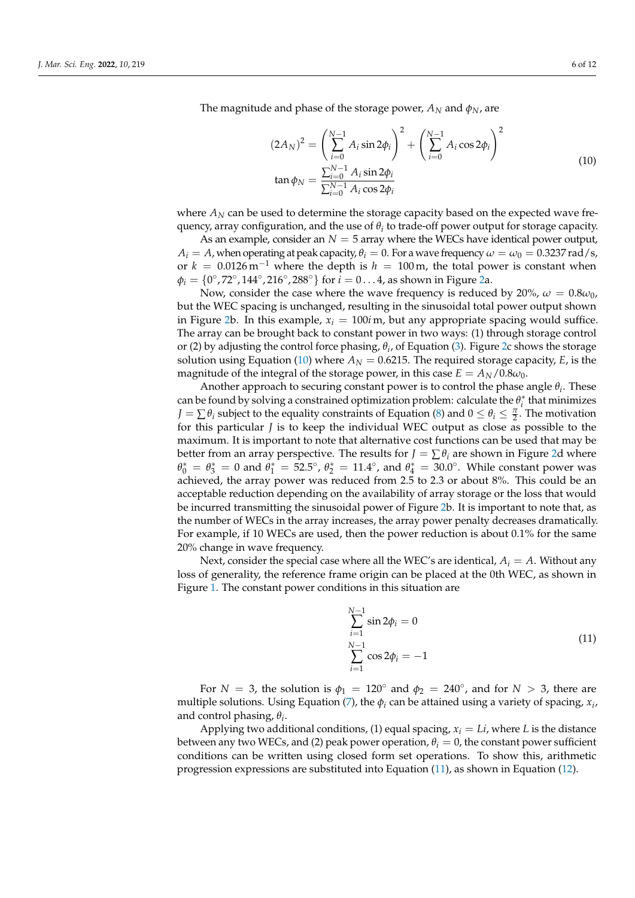<span id="page-6-0"></span>The magnitude and phase of the storage power,  $A_N$  and  $\phi_N$ , are

$$
(2A_N)^2 = \left(\sum_{i=0}^{N-1} A_i \sin 2\phi_i\right)^2 + \left(\sum_{i=0}^{N-1} A_i \cos 2\phi_i\right)^2
$$
  
\n
$$
\tan \phi_N = \frac{\sum_{i=0}^{N-1} A_i \sin 2\phi_i}{\sum_{i=0}^{N-1} A_i \cos 2\phi_i}
$$
 (10)

where  $A_N$  can be used to determine the storage capacity based on the expected wave frequency, array configuration, and the use of  $\theta_i$  to trade-off power output for storage capacity.

As an example, consider an  $N = 5$  array where the WECs have identical power output,  $A_i = A$ , when operating at peak capacity,  $\theta_i = 0$ . For a wave frequency  $\omega = \omega_0 = 0.3237$  rad/s, or  $k = 0.0126 \,\mathrm{m}^{-1}$  where the depth is  $h = 100 \,\mathrm{m}$ , the total power is constant when  $\phi_i = \{0^\circ, 72^\circ, 144^\circ, 216^\circ, 288^\circ\}$  for  $i = 0 \dots 4$ , as shown in Figure [2a](#page-7-0).

Now, consider the case where the wave frequency is reduced by 20%,  $\omega = 0.8 \omega_0$ , but the WEC spacing is unchanged, resulting in the sinusoidal total power output shown in Figure [2b](#page-7-0). In this example,  $x_i = 100i$  m, but any appropriate spacing would suffice. The array can be brought back to constant power in two ways: (1) through storage control or (2) by adjusting the control force phasing, *θ<sup>i</sup>* , of Equation [\(3\)](#page-4-2). Figure [2c](#page-7-0) shows the storage solution using Equation [\(10\)](#page-6-0) where  $A_N = 0.6215$ . The required storage capacity, *E*, is the magnitude of the integral of the storage power, in this case  $E = A_N/0.8\omega_0$ .

Another approach to securing constant power is to control the phase angle *θ<sup>i</sup>* . These can be found by solving a constrained optimization problem: calculate the  $\theta_i^*$  that minimizes  $J = \sum \theta_i$  subject to the equality constraints of Equation [\(8\)](#page-5-1) and  $0 \le \theta_i \le \frac{\pi}{2}$ . The motivation for this particular *J* is to keep the individual WEC output as close as possible to the maximum. It is important to note that alternative cost functions can be used that may be better from an array perspective. The results for  $J = \sum \theta_i$  are shown in Figure [2d](#page-7-0) where  $\theta_0^* = \theta_3^* = 0$  and  $\theta_1^* = 52.5^\circ$ ,  $\theta_2^* = 11.4^\circ$ , and  $\theta_4^* = 30.0^\circ$ . While constant power was achieved, the array power was reduced from 2.5 to 2.3 or about 8%. This could be an acceptable reduction depending on the availability of array storage or the loss that would be incurred transmitting the sinusoidal power of Figure [2b](#page-7-0). It is important to note that, as the number of WECs in the array increases, the array power penalty decreases dramatically. For example, if 10 WECs are used, then the power reduction is about 0.1% for the same 20% change in wave frequency.

Next, consider the special case where all the WEC's are identical, *A<sup>i</sup>* = *A*. Without any loss of generality, the reference frame origin can be placed at the 0th WEC, as shown in Figure [1.](#page-5-0) The constant power conditions in this situation are

$$
\sum_{i=1}^{N-1} \sin 2\phi_i = 0
$$
\n
$$
\sum_{i=1}^{N-1} \cos 2\phi_i = -1
$$
\n(11)

<span id="page-6-1"></span>For *N* = 3, the solution is  $\phi_1 = 120^\circ$  and  $\phi_2 = 240^\circ$ , and for *N* > 3, there are multiple solutions. Using Equation [\(7\)](#page-5-2), the  $\phi_i$  can be attained using a variety of spacing,  $x_i$ , and control phasing, *θ<sup>i</sup>* .

Applying two additional conditions, (1) equal spacing,  $x_i = Li$ , where L is the distance between any two WECs, and (2) peak power operation,  $\theta_i = 0$ , the constant power sufficient conditions can be written using closed form set operations. To show this, arithmetic progression expressions are substituted into Equation [\(11\)](#page-6-1), as shown in Equation [\(12\)](#page-7-1).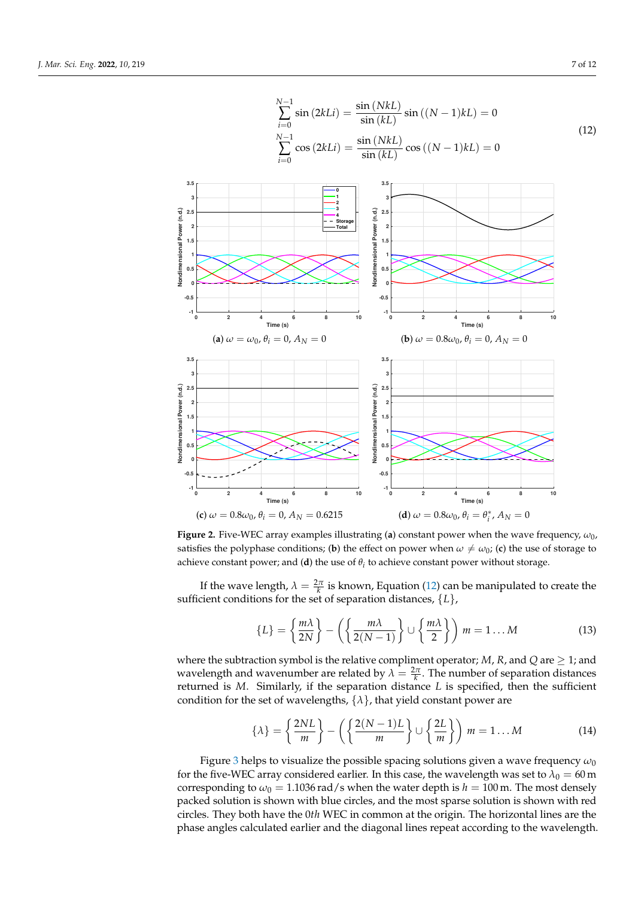<span id="page-7-1"></span><span id="page-7-0"></span>

**Figure 2.** Five-WEC array examples illustrating (**a**) constant power when the wave frequency, *ω*0, satisfies the polyphase conditions; (**b**) the effect on power when  $\omega \neq \omega_0$ ; (**c**) the use of storage to achieve constant power; and (**d**) the use of  $\theta_i$  to achieve constant power without storage.

If the wave length,  $\lambda = \frac{2\pi}{k}$  is known, Equation [\(12\)](#page-7-1) can be manipulated to create the sufficient conditions for the set of separation distances, {*L*},

$$
\{L\} = \left\{\frac{m\lambda}{2N}\right\} - \left(\left\{\frac{m\lambda}{2(N-1)}\right\} \cup \left\{\frac{m\lambda}{2}\right\}\right) m = 1...M
$$
 (13)

where the subtraction symbol is the relative compliment operator; *M*, *R*, and *Q* are  $\geq$  1; and wavelength and wavenumber are related by  $\lambda = \frac{2\pi}{k}$ . The number of separation distances returned is *M*. Similarly, if the separation distance *L* is specified, then the sufficient condition for the set of wavelengths,  $\{\lambda\}$ , that yield constant power are

<span id="page-7-2"></span>
$$
\{\lambda\} = \left\{\frac{2NL}{m}\right\} - \left(\left\{\frac{2(N-1)L}{m}\right\} \cup \left\{\frac{2L}{m}\right\}\right) m = 1...M
$$
 (14)

Figure [3](#page-8-1) helps to visualize the possible spacing solutions given a wave frequency *ω*<sup>0</sup> for the five-WEC array considered earlier. In this case, the wavelength was set to  $\lambda_0 = 60$  m corresponding to  $\omega_0 = 1.1036$  rad/s when the water depth is  $h = 100$  m. The most densely packed solution is shown with blue circles, and the most sparse solution is shown with red circles. They both have the 0*th* WEC in common at the origin. The horizontal lines are the phase angles calculated earlier and the diagonal lines repeat according to the wavelength.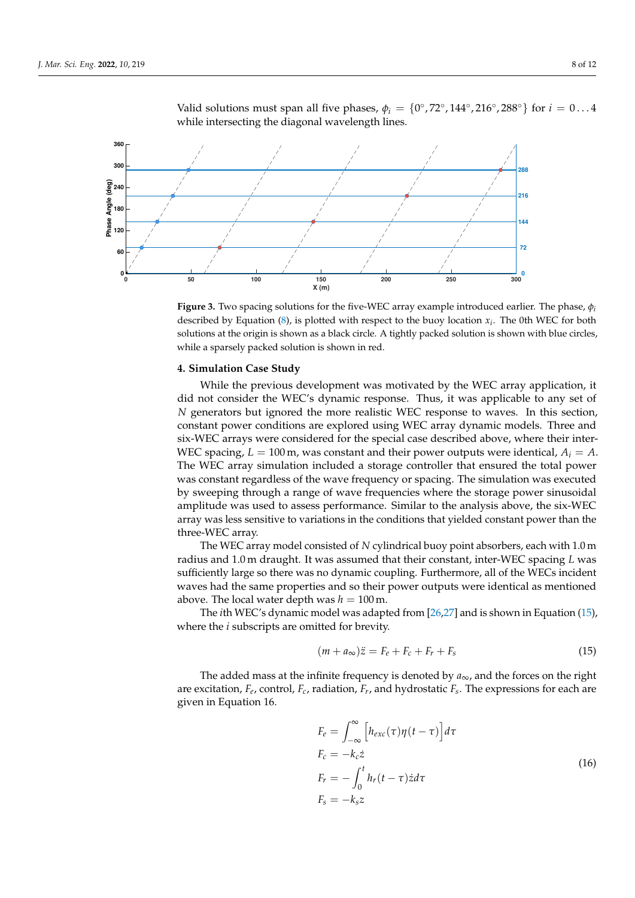

<span id="page-8-1"></span>Valid solutions must span all five phases,  $\phi_i = \{0^\circ, 72^\circ, 144^\circ, 216^\circ, 288^\circ\}$  for  $i = 0...4$ while intersecting the diagonal wavelength lines.

**Figure 3.** Two spacing solutions for the five-WEC array example introduced earlier. The phase, *φ<sup>i</sup>* described by Equation  $(8)$ , is plotted with respect to the buoy location  $x_i$ . The 0th WEC for both solutions at the origin is shown as a black circle. A tightly packed solution is shown with blue circles, while a sparsely packed solution is shown in red.

#### <span id="page-8-0"></span>**4. Simulation Case Study**

While the previous development was motivated by the WEC array application, it did not consider the WEC's dynamic response. Thus, it was applicable to any set of *N* generators but ignored the more realistic WEC response to waves. In this section, constant power conditions are explored using WEC array dynamic models. Three and six-WEC arrays were considered for the special case described above, where their inter-WEC spacing,  $L = 100$  m, was constant and their power outputs were identical,  $A_i = A$ . The WEC array simulation included a storage controller that ensured the total power was constant regardless of the wave frequency or spacing. The simulation was executed by sweeping through a range of wave frequencies where the storage power sinusoidal amplitude was used to assess performance. Similar to the analysis above, the six-WEC array was less sensitive to variations in the conditions that yielded constant power than the three-WEC array.

The WEC array model consisted of *N* cylindrical buoy point absorbers, each with 1.0 m radius and 1.0 m draught. It was assumed that their constant, inter-WEC spacing *L* was sufficiently large so there was no dynamic coupling. Furthermore, all of the WECs incident waves had the same properties and so their power outputs were identical as mentioned above. The local water depth was  $h = 100$  m.

The *i*th WEC's dynamic model was adapted from [\[26,](#page-12-9)[27\]](#page-12-10) and is shown in Equation [\(15\)](#page-8-2), where the *i* subscripts are omitted for brevity.

<span id="page-8-2"></span>
$$
(m + a_{\infty})\ddot{z} = F_e + F_c + F_r + F_s \tag{15}
$$

The added mass at the infinite frequency is denoted by  $a_{\infty}$ , and the forces on the right are excitation, *F<sup>e</sup>* , control, *Fc*, radiation, *F<sup>r</sup>* , and hydrostatic *F<sup>s</sup>* . The expressions for each are given in Equation 16.

$$
F_e = \int_{-\infty}^{\infty} \left[ h_{exc}(\tau) \eta(t - \tau) \right] d\tau
$$
  
\n
$$
F_c = -k_c \dot{z}
$$
  
\n
$$
F_r = -\int_0^t h_r(t - \tau) \dot{z} d\tau
$$
  
\n
$$
F_s = -k_s z
$$
\n(16)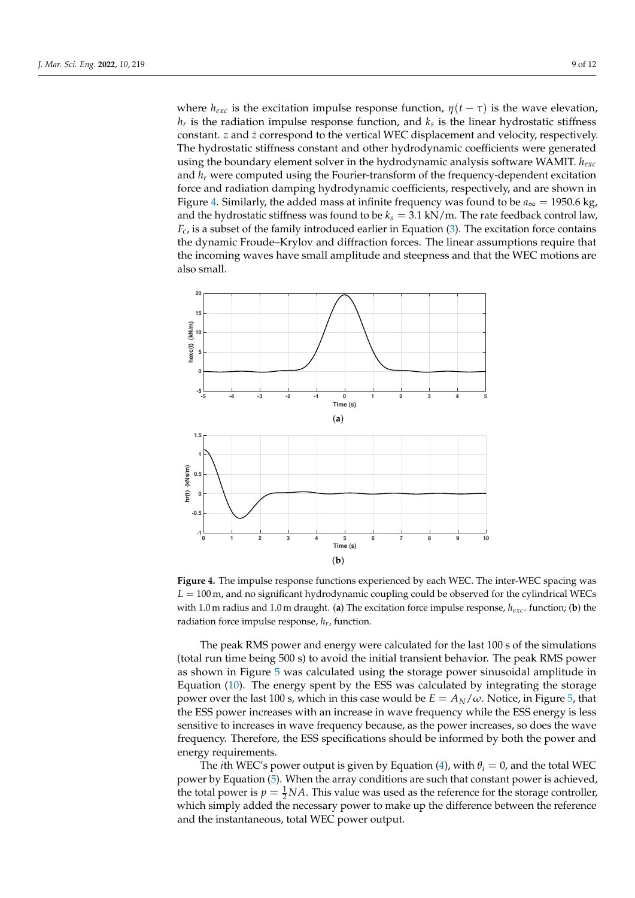where  $h_{\text{exc}}$  is the excitation impulse response function,  $\eta(t-\tau)$  is the wave elevation, *hr* is the radiation impulse response function, and *k<sup>s</sup>* is the linear hydrostatic stiffness constant. *z* and *z*˙ correspond to the vertical WEC displacement and velocity, respectively. The hydrostatic stiffness constant and other hydrodynamic coefficients were generated using the boundary element solver in the hydrodynamic analysis software WAMIT. *hexc* and *h<sup>r</sup>* were computed using the Fourier-transform of the frequency-dependent excitation force and radiation damping hydrodynamic coefficients, respectively, and are shown in Figure [4.](#page-9-0) Similarly, the added mass at infinite frequency was found to be  $a_{\infty} = 1950.6$  kg, and the hydrostatic stiffness was found to be  $k_s = 3.1 \text{ kN/m}$ . The rate feedback control law,  $F_c$ , is a subset of the family introduced earlier in Equation [\(3\)](#page-4-2). The excitation force contains the dynamic Froude–Krylov and diffraction forces. The linear assumptions require that the incoming waves have small amplitude and steepness and that the WEC motions are also small.

<span id="page-9-0"></span>

**Figure 4.** The impulse response functions experienced by each WEC. The inter-WEC spacing was *L* = 100 m, and no significant hydrodynamic coupling could be observed for the cylindrical WECs with 1.0 m radius and 1.0 m draught. (**a**) The excitation force impulse response, *hexc*. function; (**b**) the radiation force impulse response, *hr*, function.

The peak RMS power and energy were calculated for the last 100 s of the simulations (total run time being 500 s) to avoid the initial transient behavior. The peak RMS power as shown in Figure [5](#page-10-1) was calculated using the storage power sinusoidal amplitude in Equation [\(10\)](#page-6-0). The energy spent by the ESS was calculated by integrating the storage power over the last 100 s, which in this case would be  $E = A_N/\omega$ . Notice, in Figure [5,](#page-10-1) that the ESS power increases with an increase in wave frequency while the ESS energy is less sensitive to increases in wave frequency because, as the power increases, so does the wave frequency. Therefore, the ESS specifications should be informed by both the power and energy requirements.

The *i*th WEC's power output is given by Equation [\(4\)](#page-4-3), with  $\theta_i = 0$ , and the total WEC power by Equation [\(5\)](#page-4-4). When the array conditions are such that constant power is achieved, the total power is  $p = \frac{1}{2}NA$ . This value was used as the reference for the storage controller, which simply added the necessary power to make up the difference between the reference and the instantaneous, total WEC power output.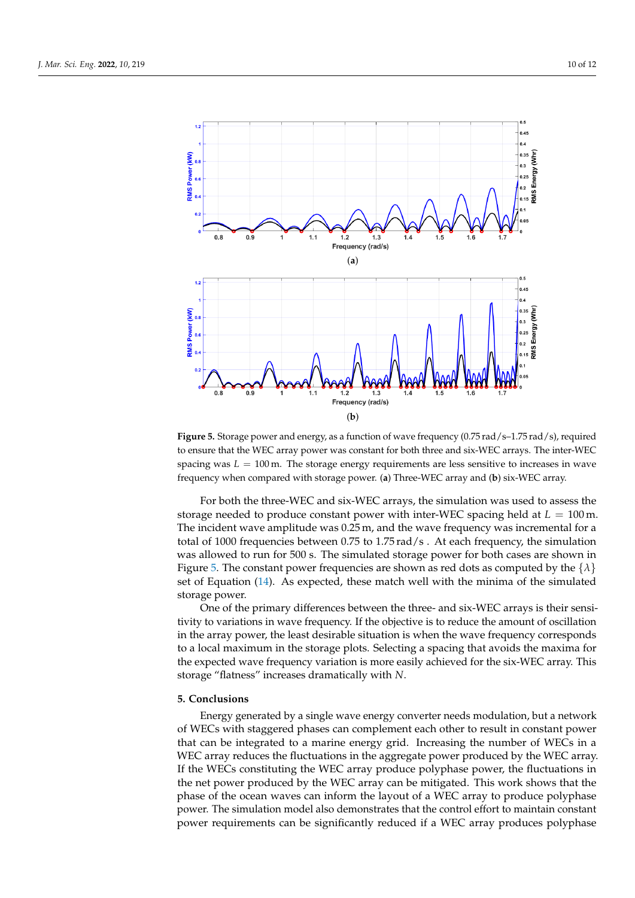<span id="page-10-1"></span>

Figure 5. Storage power and energy, as a function of wave frequency (0.75 rad/s-1.75 rad/s), required to ensure that the WEC array power was constant for both three and six-WEC arrays. The inter-WEC spacing was  $L = 100$  m. The storage energy requirements are less sensitive to increases in wave frequency when compared with storage power. (**a**) Three-WEC array and (**b**) six-WEC array.

For both the three-WEC and six-WEC arrays, the simulation was used to assess the storage needed to produce constant power with inter-WEC spacing held at *L* = 100 m. The incident wave amplitude was 0.25 m, and the wave frequency was incremental for a total of 1000 frequencies between 0.75 to 1.75 rad/s . At each frequency, the simulation was allowed to run for 500 s. The simulated storage power for both cases are shown in Figure [5.](#page-10-1) The constant power frequencies are shown as red dots as computed by the  $\{\lambda\}$ set of Equation [\(14\)](#page-7-2). As expected, these match well with the minima of the simulated storage power.

One of the primary differences between the three- and six-WEC arrays is their sensitivity to variations in wave frequency. If the objective is to reduce the amount of oscillation in the array power, the least desirable situation is when the wave frequency corresponds to a local maximum in the storage plots. Selecting a spacing that avoids the maxima for the expected wave frequency variation is more easily achieved for the six-WEC array. This storage "flatness" increases dramatically with *N*.

#### <span id="page-10-0"></span>**5. Conclusions**

Energy generated by a single wave energy converter needs modulation, but a network of WECs with staggered phases can complement each other to result in constant power that can be integrated to a marine energy grid. Increasing the number of WECs in a WEC array reduces the fluctuations in the aggregate power produced by the WEC array. If the WECs constituting the WEC array produce polyphase power, the fluctuations in the net power produced by the WEC array can be mitigated. This work shows that the phase of the ocean waves can inform the layout of a WEC array to produce polyphase power. The simulation model also demonstrates that the control effort to maintain constant power requirements can be significantly reduced if a WEC array produces polyphase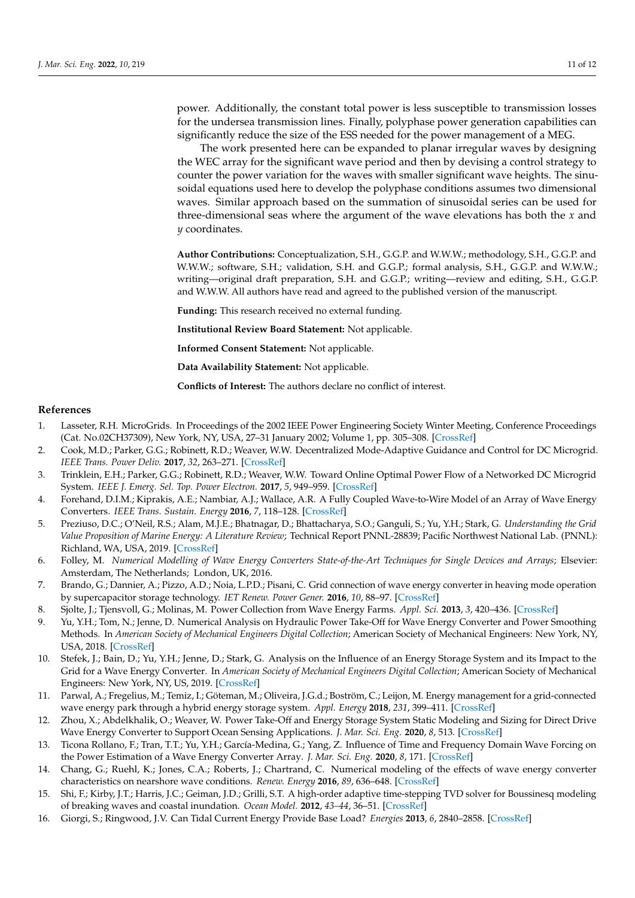power. Additionally, the constant total power is less susceptible to transmission losses for the undersea transmission lines. Finally, polyphase power generation capabilities can significantly reduce the size of the ESS needed for the power management of a MEG.

The work presented here can be expanded to planar irregular waves by designing the WEC array for the significant wave period and then by devising a control strategy to counter the power variation for the waves with smaller significant wave heights. The sinusoidal equations used here to develop the polyphase conditions assumes two dimensional waves. Similar approach based on the summation of sinusoidal series can be used for three-dimensional seas where the argument of the wave elevations has both the *x* and *y* coordinates.

**Author Contributions:** Conceptualization, S.H., G.G.P. and W.W.W.; methodology, S.H., G.G.P. and W.W.W.; software, S.H.; validation, S.H. and G.G.P.; formal analysis, S.H., G.G.P. and W.W.W.; writing—original draft preparation, S.H. and G.G.P.; writing—review and editing, S.H., G.G.P. and W.W.W. All authors have read and agreed to the published version of the manuscript.

**Funding:** This research received no external funding.

**Institutional Review Board Statement:** Not applicable.

**Informed Consent Statement:** Not applicable.

**Data Availability Statement:** Not applicable.

**Conflicts of Interest:** The authors declare no conflict of interest.

#### **References**

- <span id="page-11-0"></span>1. Lasseter, R.H. MicroGrids. In Proceedings of the 2002 IEEE Power Engineering Society Winter Meeting, Conference Proceedings (Cat. No.02CH37309), New York, NY, USA, 27–31 January 2002; Volume 1, pp. 305–308. [\[CrossRef\]](http://doi.org/10.1109/PESW.2002. 985003)
- <span id="page-11-1"></span>2. Cook, M.D.; Parker, G.G.; Robinett, R.D.; Weaver, W.W. Decentralized Mode-Adaptive Guidance and Control for DC Microgrid. *IEEE Trans. Power Deliv.* **2017**, *32*, 263–271. [\[CrossRef\]](http://dx.doi.org/10.1109/TPWRD.2016.2583384)
- <span id="page-11-2"></span>3. Trinklein, E.H.; Parker, G.G.; Robinett, R.D.; Weaver, W.W. Toward Online Optimal Power Flow of a Networked DC Microgrid System. *IEEE J. Emerg. Sel. Top. Power Electron.* **2017**, *5*, 949–959. [\[CrossRef\]](http://dx.doi.org/10.1109/JESTPE.2017.2657459)
- <span id="page-11-3"></span>4. Forehand, D.I.M.; Kiprakis, A.E.; Nambiar, A.J.; Wallace, A.R. A Fully Coupled Wave-to-Wire Model of an Array of Wave Energy Converters. *IEEE Trans. Sustain. Energy* **2016**, *7*, 118–128. [\[CrossRef\]](http://dx.doi.org/10.1109/TSTE.2015.2476960)
- <span id="page-11-4"></span>5. Preziuso, D.C.; O'Neil, R.S.; Alam, M.J.E.; Bhatnagar, D.; Bhattacharya, S.O.; Ganguli, S.; Yu, Y.H.; Stark, G. *Understanding the Grid Value Proposition of Marine Energy: A Literature Review*; Technical Report PNNL-28839; Pacific Northwest National Lab. (PNNL): Richland, WA, USA, 2019. [\[CrossRef\]](http://dx.doi.org/10.2172/1643688)
- <span id="page-11-5"></span>6. Folley, M. *Numerical Modelling of Wave Energy Converters State-of-the-Art Techniques for Single Devices and Arrays*; Elsevier: Amsterdam, The Netherlands; London, UK, 2016.
- <span id="page-11-6"></span>7. Brando, G.; Dannier, A.; Pizzo, A.D.; Noia, L.P.D.; Pisani, C. Grid connection of wave energy converter in heaving mode operation by supercapacitor storage technology. *IET Renew. Power Gener.* **2016**, *10*, 88–97. [\[CrossRef\]](http://dx.doi.org/10.1049/iet-rpg.2015.0093)
- <span id="page-11-7"></span>8. Sjolte, J.; Tjensvoll, G.; Molinas, M. Power Collection from Wave Energy Farms. *Appl. Sci.* **2013**, *3*, 420–436. [\[CrossRef\]](http://dx.doi.org/10.3390/app3020420)
- <span id="page-11-8"></span>9. Yu, Y.H.; Tom, N.; Jenne, D. Numerical Analysis on Hydraulic Power Take-Off for Wave Energy Converter and Power Smoothing Methods. In *American Society of Mechanical Engineers Digital Collection*; American Society of Mechanical Engineers: New York, NY, USA, 2018. [\[CrossRef\]](http://dx.doi.org/10.1115/OMAE2018-78176)
- <span id="page-11-9"></span>10. Stefek, J.; Bain, D.; Yu, Y.H.; Jenne, D.; Stark, G. Analysis on the Influence of an Energy Storage System and its Impact to the Grid for a Wave Energy Converter. In *American Society of Mechanical Engineers Digital Collection*; American Society of Mechanical Engineers: New York, NY, US, 2019. [\[CrossRef\]](http://dx.doi.org/10.1115/OMAE2019-96466)
- <span id="page-11-10"></span>11. Parwal, A.; Fregelius, M.; Temiz, I.; Göteman, M.; Oliveira, J.G.d.; Boström, C.; Leijon, M. Energy management for a grid-connected wave energy park through a hybrid energy storage system. *Appl. Energy* **2018**, *231*, 399–411. [\[CrossRef\]](http://dx.doi.org/10.1016/j.apenergy.2018.09.146)
- <span id="page-11-11"></span>12. Zhou, X.; Abdelkhalik, O.; Weaver, W. Power Take-Off and Energy Storage System Static Modeling and Sizing for Direct Drive Wave Energy Converter to Support Ocean Sensing Applications. *J. Mar. Sci. Eng.* **2020**, *8*, 513. [\[CrossRef\]](http://dx.doi.org/10.3390/jmse8070513)
- <span id="page-11-12"></span>13. Ticona Rollano, F.; Tran, T.T.; Yu, Y.H.; García-Medina, G.; Yang, Z. Influence of Time and Frequency Domain Wave Forcing on the Power Estimation of a Wave Energy Converter Array. *J. Mar. Sci. Eng.* **2020**, *8*, 171. [\[CrossRef\]](http://dx.doi.org/10.3390/jmse8030171)
- <span id="page-11-13"></span>14. Chang, G.; Ruehl, K.; Jones, C.A.; Roberts, J.; Chartrand, C. Numerical modeling of the effects of wave energy converter characteristics on nearshore wave conditions. *Renew. Energy* **2016**, *89*, 636–648. [\[CrossRef\]](http://dx.doi.org/10.1016/j.renene.2015.12.048)
- <span id="page-11-14"></span>15. Shi, F.; Kirby, J.T.; Harris, J.C.; Geiman, J.D.; Grilli, S.T. A high-order adaptive time-stepping TVD solver for Boussinesq modeling of breaking waves and coastal inundation. *Ocean Model.* **2012**, *43–44*, 36–51. [\[CrossRef\]](http://dx.doi.org/10.1016/j.ocemod.2011.12.004)
- <span id="page-11-15"></span>16. Giorgi, S.; Ringwood, J.V. Can Tidal Current Energy Provide Base Load? *Energies* **2013**, *6*, 2840–2858. [\[CrossRef\]](http://dx.doi.org/10.3390/en6062840)